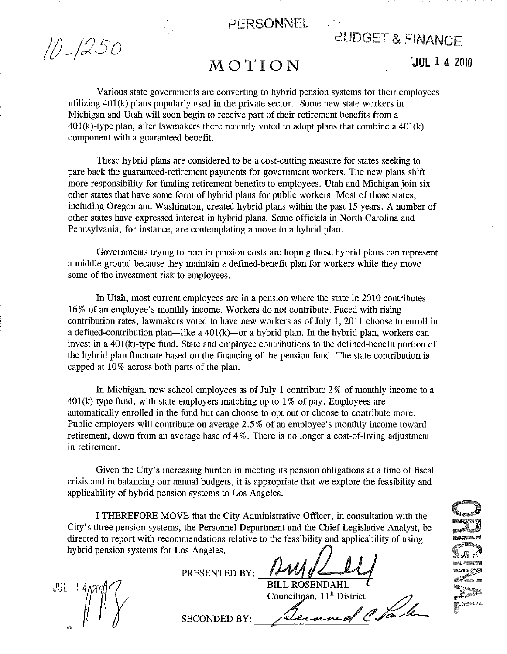

 $11 - 1250$ 

# dUDGET & FINANCE

## MOTION

'JUL 14 2010

Various state governments are converting to hybrid pension systems for their employees utilizing  $401(k)$  plans popularly used in the private sector. Some new state workers in Michigan and Utah will soon begin to receive part of their retirement benefits from a  $401(k)$ -type plan, after lawmakers there recently voted to adopt plans that combine a  $401(k)$ component with a guaranteed benefit.

These hybrid plans are considered to be a cost -cutting measure for states seeking to pare back the guaranteed-retirement payments for government workers. The new plans shift more responsibility for funding retirement benefits to employees. Utah and Michigan join six other states that have some form of hybrid plans for public workers. Most of those states, including Oregon and Washington, created hybrid plans within the past 15 years. A number of other states have expressed interest in hybrid plans. Some officials in North Carolina and Pennsylvania, for instance, are contemplating a move to a hybrid plan.

Governments trying to rein in pension costs are hoping these hybrid plans can represent a middle ground because they maintain a defined-benefit plan for workers while they move some of the investment risk to employees.

In Utah, most current employees are in a pension where the state in 2010 contributes 16% of an employee's monthly income. Workers do not contribute. Faced with rising contribution rates, lawmakers voted to have new workers as of July 1, 2011 choose to enroll in a defined-contribution plan—like a  $401(k)$ —or a hybrid plan. In the hybrid plan, workers can invest in a 401(k)-type fund. State and employee contributions to the defined-benefit portion of the hybrid plan fluctuate based on the financing of the pension fund. The state contribution is capped at 10% across both parts of the plan.

In Michigan, new school employees as of July 1 contribute 2% of monthly income to a  $401(k)$ -type fund, with state employers matching up to 1% of pay. Employees are automatically enrolled in the fund but can choose to opt out or choose to contribute more. Public employers will contribute on average 2.5% of an employee's monthly income toward retirement, down from an average base of 4%. There is no longer a cost-of-living adjustment in retirement.

Given the City's increasing burden in meeting its pension obligations at a time of fiscal crisis and in balancing our annual budgets, it is appropriate that we explore the feasibility and applicability of hybrid pension systems to Los Angeles.

I THEREFORE MOVE that the City Administrative Officer, in consultation with the City's three pension systems, the Personnel Department and the Chief Legislative Analyst, be directed to report with recommendations relative to the feasibility and applicability of using hybrid pension systems for Los Angeles.<br>PRESENTED BY: **AMM ANGERIA PRESENTED BY:** FILL ROSENDAHL

 $JU - IZ$ 

SECONDED BY:

BILL ROSENDAHL

Councilman,  $11<sup>th</sup>$  District

" . p. L.

**CARACTERS**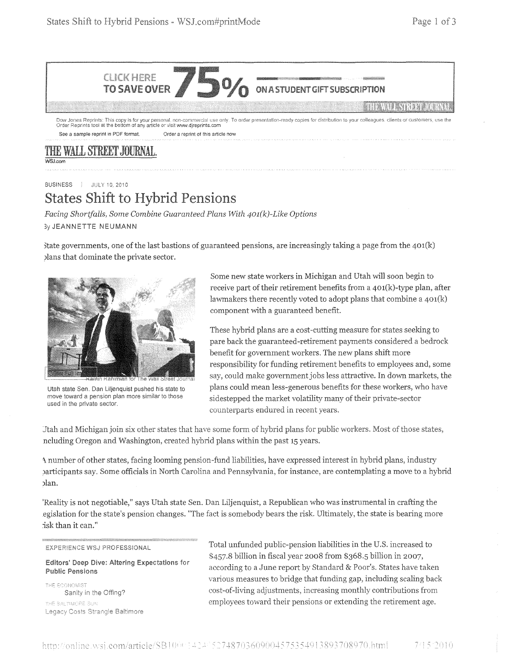

Dow Jones Reprints: This copy is for your personal, non-commercial use only. To order presentation-ready copies for distribution to your colleagues, clients or customers, use the<br>Order Reprints tool at the bottom of any ar See a sample reprint in PDF format. Order a reprint of this article now

### THE WALL STREET HURNAL MAI com

**BUSINESS | JULY 10. 2010** 

# **States Shift to Hybrid Pensions**

*Facing Shortfalls, Some Combine Guaranteed Plans With 401(k)-Like Options*  3y JEANNETTE NEUMANN

) State governments, one of the last bastions of guaranteed pensions, are increasingly taking a page from the  $401(k)$ Jlans that dominate the private sector.



Utah state Sen, Dan Liljenquist pushed his state to move toward a pension plan more similar to those used in the private sector.

Some new state workers in Michigan and Utah will soon begin to receive part of their retirement benefits from a 401(k)-type plan, after lawmakers there recently voted to adopt plans that combine a  $401(k)$ component with a guaranteed benefit.

These hybrid plans are a cost-cutting measure for states seeking to pare back the guaranteed-retirement payments considered a bedrock benefit for government workers. The new plans shift more responsibility for funding retirement benefits to employees and, some say, could make government jobs less attractive. In down markets, the plans could mean less-generous benefits for these workers, who have sidestepped the market volatility many of their private-sector counterparts endured in recent years.

Jtah and Michigan join six other states that have some form of hybrid plans for public workers. Most of those states, ncluding Oregon and Washington, created hybrid plans within the past 15 years.

A number of other states, facing looming pension-fund liabilities, have expressed interest in hybrid plans, industry )articipants say. Some officials in North Carolina and Pennsylvania, for instance, are contemplating a move to a hybrid )Ian.

'Reality is not negotiable," says Utah state Sen. Dan Liljenquist, a Republican who was instrumental in crafting the egislation for the state's pension changes. "The fact is somebody bears the risk. Ultimately, the state is bearing more isk than it can."

#### **EXPERIENCE WSJ PROFESSIONAL**

Editors' Deep Dive: Altering Expectations for **Public Pensions** 

THE BALTIMORE SUN Legacy Costs Strangle Baltimore

Total unfunded public-pension liabilities in the U.S. increased to billion in fiscal year 2008 from \$368.5 billion in 2007, according to a June report by Standard & Poor's. States have taken various measures to bridge that funding gap, including scaling back THE ECONOMIST<br>Sanity in the Offing? cost-of-living adjustments, increasing monthly contributions from employees toward their pensions or extending the retirement age.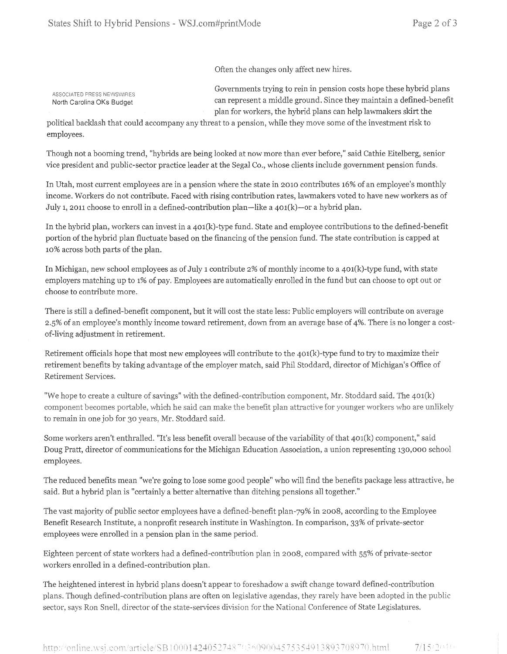Often the changes only affect new hires.

**ASSOCIATED PRESS NEWSWIRES** North Carolina OKs Budget

Governments trying to rein in pension costs hope these hybrid plans can represent a middle ground. Since they maintain a defined-benefit plan for workers, the hybrid plans can help lawmakers skirt the

political backlash that could accompany any threat to a pension, while they move some of the investment risk to employees.

Though not a booming trend, "hybrids are being looked at now more than ever before," said Cathie Eitelberg, senior vice president and public-sector practice leader at the Segal Co., whose clients include government pension funds.

In Utah, most current employees are in a pension where the state in 2010 contributes 16% of an employee's monthly income. Workers do not contribute. Faced with rising contribution rates, lawmakers voted to have new workers as of July 1, 2011 choose to enroll in a defined-contribution plan-like a  $401(k)$ -or a hybrid plan.

In the hybrid plan, workers can invest in a 401(k)-type fund. State and employee contributions to the defined-benefit portion of the hybrid plan fluctuate based on the financing of the pension fund. The state contribution is capped at 10% across both parts of the plan.

In Michigan, new school employees as of July 1 contribute 2% of monthly income to a 401(k)-type fund, with state employers matching up to 1% of pay. Employees are automatically enrolled in the fund but can choose to opt out or choose to contribute more.

There is still a defined-benefit component, but it will cost the state less: Public employers will contribute on average 2.5% of an employee's monthly income toward retirement, down from an average base of 4%. There is no longer a costof-living adjustment in retirement.

Retirement officials hope that most new employees will contribute to the  $401(k)$ -type fund to try to maximize their retirement benefits by taking advantage of the employer match, said Phil Stoddard, director of Michigan's Office of Retirement Services.

"We hope to create a culture of savings" with the defined-contribution component, Mr. Stoddard said. The 401(k) component becomes portable, which he said can make the benefit plan attractive for younger workers who are unlikely to remain in one job for 30 years, Mr. Stoddard said.

Some workers aren't enthralled. "It's less benefit overall because of the variability of that 401(k) component," said Doug Pratt, director of communications for the Michigan Education Association, a union representing 130,000 school employees.

The reduced benefits mean "we're going to lose some good people" who will find the benefits package less attractive, he said. But a hybrid plan is "certainly a better alternative than ditching pensions all together."

The vast majority of public sector employees have a defined-benefit plan-79% in 2008, according to the Employee Benefit Research Institute, a nonprofit research institute in Washington. In comparison, 33% of private-sector employees were enrolled in a pension plan in the same period,

Eighteen percent of state workers had a defined-contribution plan in 2008, compared with 55% of workers enrolled in a defined-contribution plan.

The heightened interest in hybrid plans doesn't appear to foreshadow a swift change toward defined -contribution plans. Though defined-contribution plans are often on legislative agendas, they rarely have been adopted in the public sector, says Ron Snell, director of the state-services division for the National Conference of State Legislatures.